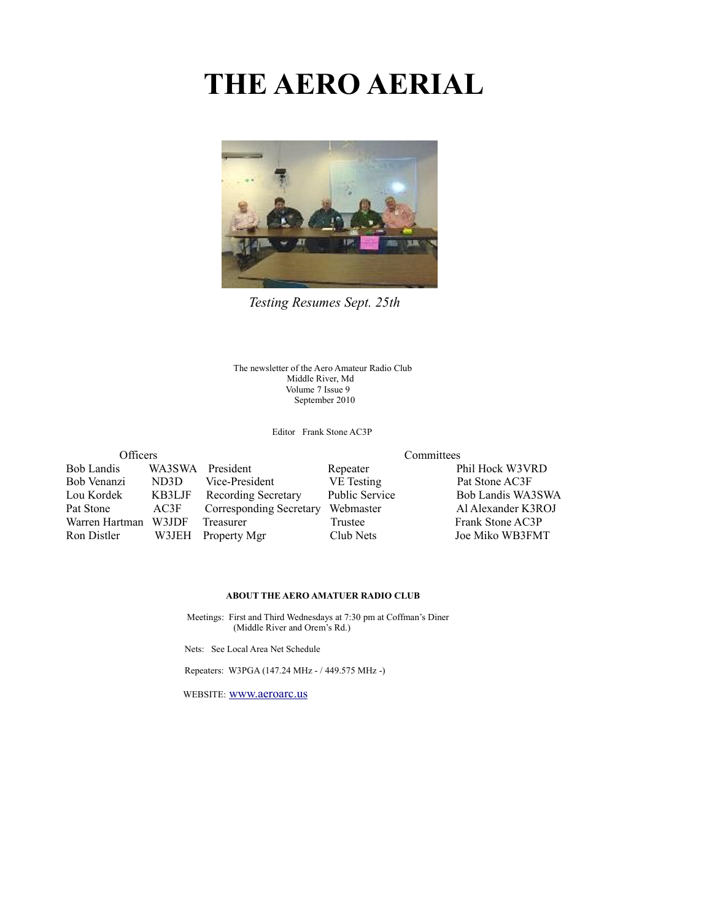# **THE AERO AERIAL**



*Testing Resumes Sept. 25th*

The newsletter of the Aero Amateur Radio Club Middle River, Md Volume 7 Issue 9 September 2010

Editor Frank Stone AC3P

| Officers          |        |                            | Committees            |                    |  |  |
|-------------------|--------|----------------------------|-----------------------|--------------------|--|--|
| <b>Bob Landis</b> | WA3SWA | President                  | Repeater              | Phil Hock W3VRD    |  |  |
| Bob Venanzi       | ND3D   | Vice-President             | VE Testing            | Pat Stone AC3F     |  |  |
| Lou Kordek        | KB3LJF | <b>Recording Secretary</b> | <b>Public Service</b> | Bob Landis WA3SWA  |  |  |
| Pat Stone         | AC3F   | Corresponding Secretary    | Webmaster             | Al Alexander K3ROJ |  |  |
| Warren Hartman    | W3JDF  | Treasurer                  | Trustee               | Frank Stone AC3P   |  |  |
| Ron Distler       | W3JEH  | Property Mgr               | Club Nets             | Joe Miko WB3FMT    |  |  |

#### **ABOUT THE AERO AMATUER RADIO CLUB**

 Meetings: First and Third Wednesdays at 7:30 pm at Coffman's Diner (Middle River and Orem's Rd.)

Nets: See Local Area Net Schedule

Repeaters: W3PGA (147.24 MHz - / 449.575 MHz -)

WEBSITE: [www.aeroarc.us](http://www.aeroarc.us/)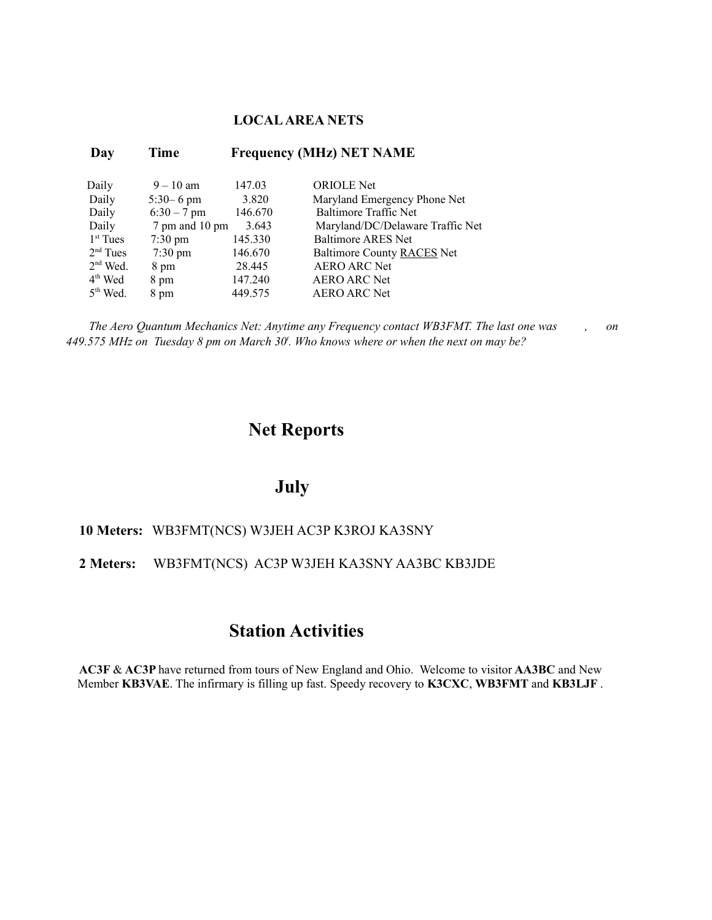#### **LOCAL AREA NETS**

| Day        | Time              |         | <b>Frequency (MHz) NET NAME</b>  |
|------------|-------------------|---------|----------------------------------|
| Daily      | $9 - 10$ am       | 147.03  | <b>ORIOLE</b> Net                |
| Daily      | $5:30 - 6$ pm     | 3.820   | Maryland Emergency Phone Net     |
| Daily      | $6:30 - 7$ pm     | 146.670 | Baltimore Traffic Net            |
| Daily      | 7 pm and 10 pm    | 3.643   | Maryland/DC/Delaware Traffic Net |
| $1st$ Tues | $7:30 \text{ pm}$ | 145.330 | <b>Baltimore ARES Net</b>        |
| $2nd$ Tues | $7:30 \text{ pm}$ | 146.670 | Baltimore County RACES Net       |
| $2nd$ Wed. | 8 pm              | 28.445  | <b>AERO ARC Net</b>              |
| $4th$ Wed  | 8 pm              | 147.240 | <b>AERO ARC Net</b>              |
| $5th$ Wed. | 8 pm              | 449.575 | <b>AERO ARC Net</b>              |

*The Aero Quantum Mechanics Net: Anytime any Frequency contact WB3FMT. The last one was , on 449.575 MHz on Tuesday 8 pm on March 30<sup>t</sup> . Who knows where or when the next on may be?*

### **Net Reports**

### **July**

#### **10 Meters:** WB3FMT(NCS) W3JEH AC3P K3ROJ KA3SNY

#### **2 Meters:** WB3FMT(NCS) AC3P W3JEH KA3SNY AA3BC KB3JDE

### **Station Activities**

**AC3F** & **AC3P** have returned from tours of New England and Ohio. Welcome to visitor **AA3BC** and New Member **KB3VAE**. The infirmary is filling up fast. Speedy recovery to **K3CXC**, **WB3FMT** and **KB3LJF** .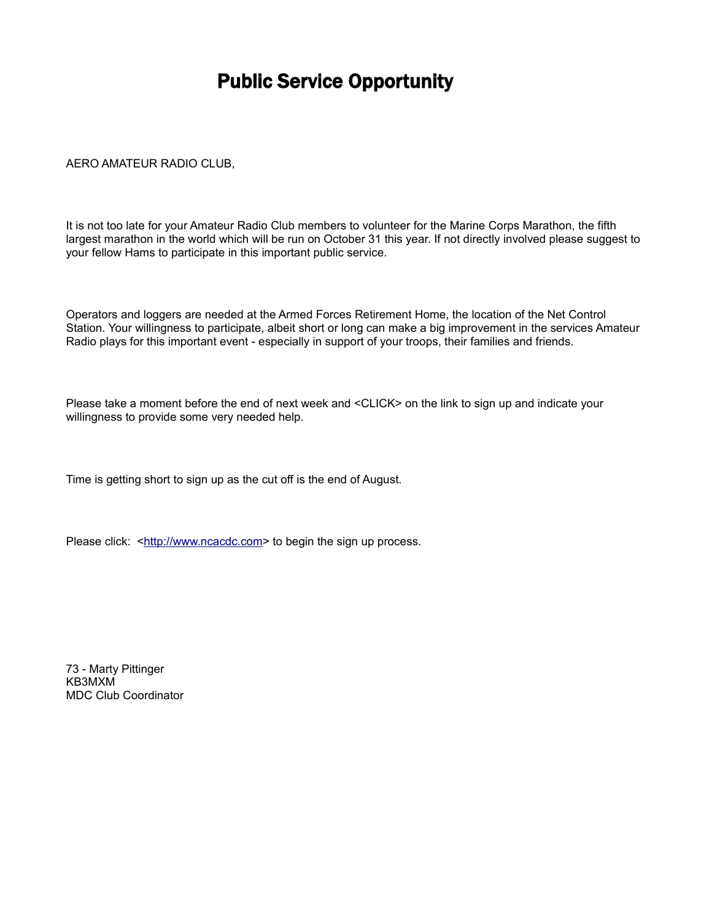## Public Service Opportunity

#### AERO AMATEUR RADIO CLUB,

It is not too late for your Amateur Radio Club members to volunteer for the Marine Corps Marathon, the fifth largest marathon in the world which will be run on October 31 this year. If not directly involved please suggest to your fellow Hams to participate in this important public service.

Operators and loggers are needed at the Armed Forces Retirement Home, the location of the Net Control Station. Your willingness to participate, albeit short or long can make a big improvement in the services Amateur Radio plays for this important event - especially in support of your troops, their families and friends.

Please take a moment before the end of next week and <CLICK> on the link to sign up and indicate your willingness to provide some very needed help.

Time is getting short to sign up as the cut off is the end of August.

Please click: [<http://www.ncacdc.com>](http://www.ncacdc.com/) to begin the sign up process.

73 - Marty Pittinger KB3MXM MDC Club Coordinator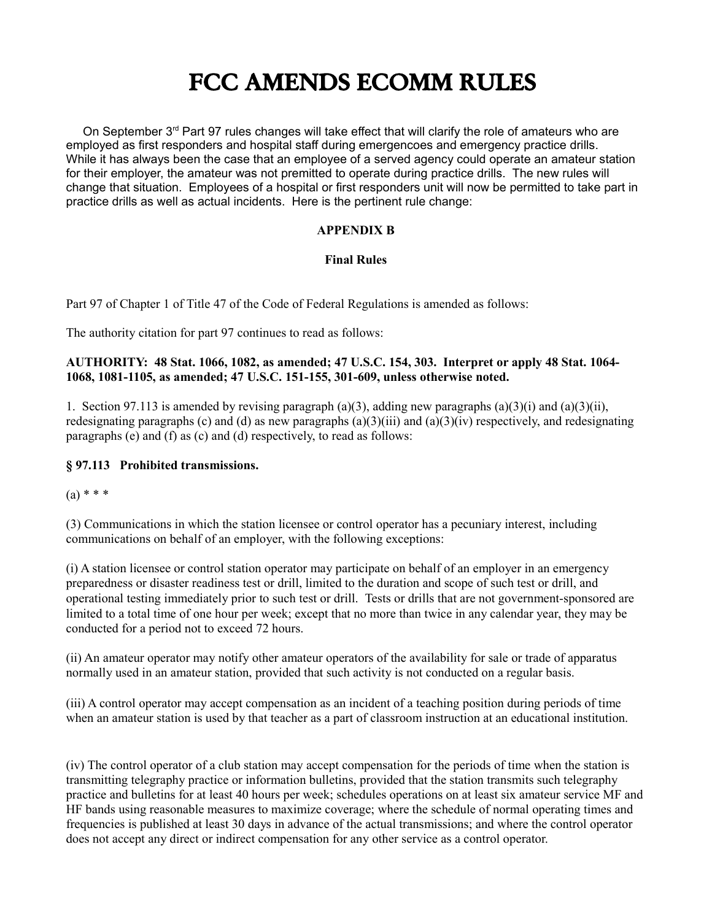## **FCC AMENDS ECOMM RULES**

On September  $3<sup>rd</sup>$  Part 97 rules changes will take effect that will clarify the role of amateurs who are employed as first responders and hospital staff during emergencoes and emergency practice drills. While it has always been the case that an employee of a served agency could operate an amateur station for their employer, the amateur was not premitted to operate during practice drills. The new rules will change that situation. Employees of a hospital or first responders unit will now be permitted to take part in practice drills as well as actual incidents. Here is the pertinent rule change:

#### **APPENDIX B**

#### **Final Rules**

Part 97 of Chapter 1 of Title 47 of the Code of Federal Regulations is amended as follows:

The authority citation for part 97 continues to read as follows:

#### **AUTHORITY: 48 Stat. 1066, 1082, as amended; 47 U.S.C. 154, 303. Interpret or apply 48 Stat. 1064- 1068, 1081-1105, as amended; 47 U.S.C. 151-155, 301-609, unless otherwise noted.**

1. Section 97.113 is amended by revising paragraph (a)(3), adding new paragraphs (a)(3)(i) and (a)(3)(ii), redesignating paragraphs (c) and (d) as new paragraphs  $(a)(3)(iii)$  and  $(a)(3)(iv)$  respectively, and redesignating paragraphs (e) and (f) as (c) and (d) respectively, to read as follows:

#### **§ 97.113 Prohibited transmissions.**

 $(a) * * *$ 

(3) Communications in which the station licensee or control operator has a pecuniary interest, including communications on behalf of an employer, with the following exceptions:

(i) A station licensee or control station operator may participate on behalf of an employer in an emergency preparedness or disaster readiness test or drill, limited to the duration and scope of such test or drill, and operational testing immediately prior to such test or drill. Tests or drills that are not government-sponsored are limited to a total time of one hour per week; except that no more than twice in any calendar year, they may be conducted for a period not to exceed 72 hours.

(ii) An amateur operator may notify other amateur operators of the availability for sale or trade of apparatus normally used in an amateur station, provided that such activity is not conducted on a regular basis.

(iii) A control operator may accept compensation as an incident of a teaching position during periods of time when an amateur station is used by that teacher as a part of classroom instruction at an educational institution.

(iv) The control operator of a club station may accept compensation for the periods of time when the station is transmitting telegraphy practice or information bulletins, provided that the station transmits such telegraphy practice and bulletins for at least 40 hours per week; schedules operations on at least six amateur service MF and HF bands using reasonable measures to maximize coverage; where the schedule of normal operating times and frequencies is published at least 30 days in advance of the actual transmissions; and where the control operator does not accept any direct or indirect compensation for any other service as a control operator.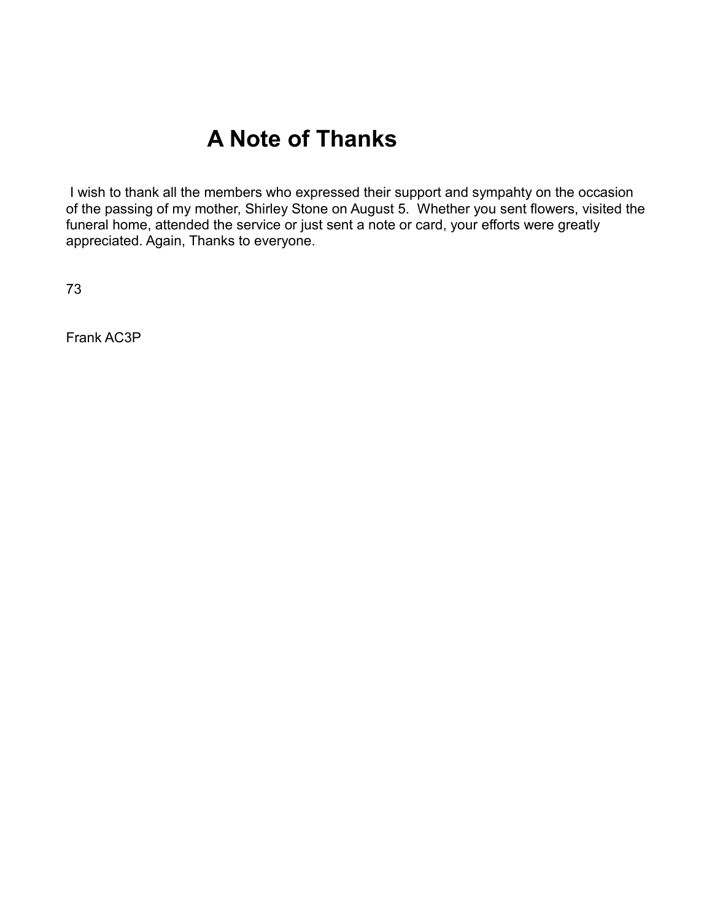## **A Note of Thanks**

 I wish to thank all the members who expressed their support and sympahty on the occasion of the passing of my mother, Shirley Stone on August 5. Whether you sent flowers, visited the funeral home, attended the service or just sent a note or card, your efforts were greatly appreciated. Again, Thanks to everyone.

73

Frank AC3P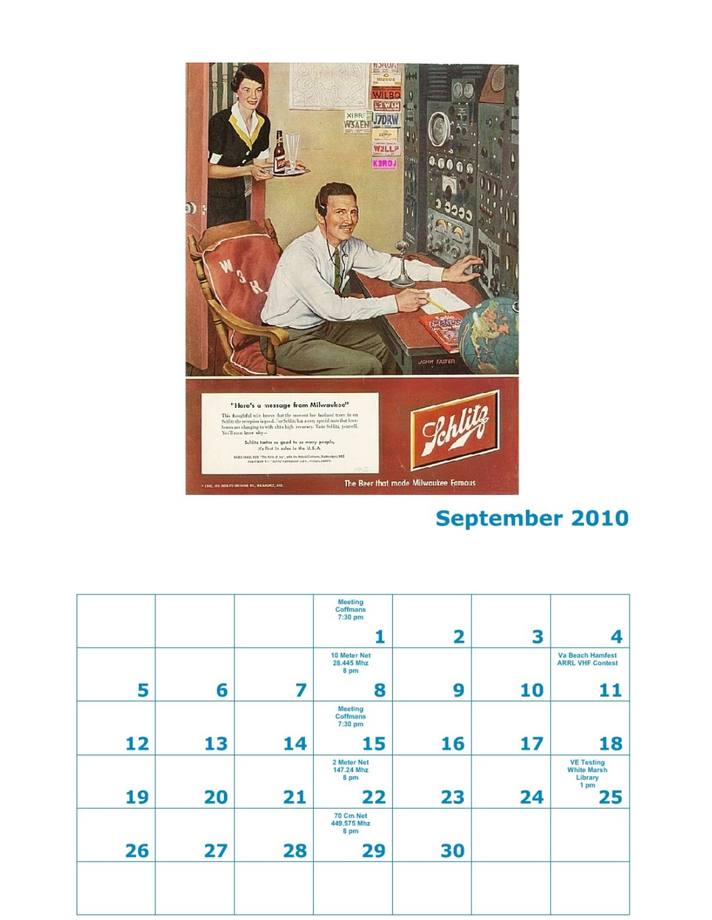

## **September 2010**

|    |    |    | Meeting<br>Coffmans<br>7:30 pm        |    |    |                                                            |
|----|----|----|---------------------------------------|----|----|------------------------------------------------------------|
|    |    |    |                                       | 2  | 3  | 4                                                          |
|    |    |    | 10 Meter Net<br>28.445 Mhz<br>8 pm    |    |    | <b>Va Beach Hamfest</b><br><b>ARRL VHF Contest</b>         |
| 5  | 6  | 7  | 8                                     | 9  | 10 | 11                                                         |
|    |    |    | <b>Meeting</b><br>Coffmans<br>7:30 pm |    |    |                                                            |
| 12 | 13 | 14 | 15                                    | 16 | 17 | 18                                                         |
|    |    |    | 2 Meter Net<br>147.24 Mhz<br>8 pm     |    |    | <b>VE Testing</b><br><b>White Marsh</b><br>Library<br>1 pm |
| 19 | 20 | 21 | 22                                    | 23 | 24 | 25                                                         |
|    |    |    | 70 Cm Net<br>449.575 Mhz<br>8 pm      |    |    |                                                            |
| 26 | 27 | 28 | 29                                    | 30 |    |                                                            |
|    |    |    |                                       |    |    |                                                            |
|    |    |    |                                       |    |    |                                                            |